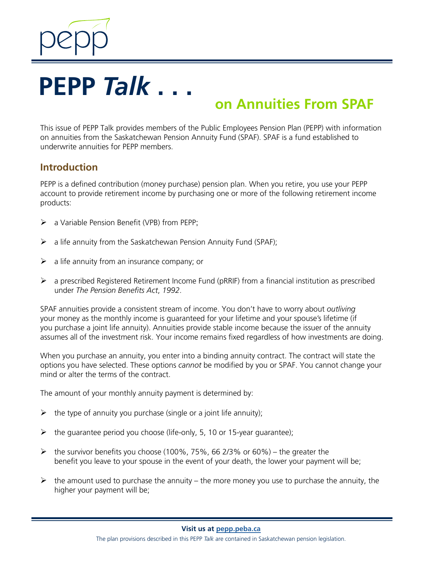

# **on Annuities From SPAF**

This issue of PEPP Talk provides members of the Public Employees Pension Plan (PEPP) with information on annuities from the Saskatchewan Pension Annuity Fund (SPAF). SPAF is a fund established to underwrite annuities for PEPP members.

### **Introduction**

PEPP is a defined contribution (money purchase) pension plan. When you retire, you use your PEPP account to provide retirement income by purchasing one or more of the following retirement income products:

- a Variable Pension Benefit (VPB) from PEPP;
- $\triangleright$  a life annuity from the Saskatchewan Pension Annuity Fund (SPAF);
- $\triangleright$  a life annuity from an insurance company; or
- $\triangleright$  a prescribed Registered Retirement Income Fund (pRRIF) from a financial institution as prescribed under *The Pension Benefits Act*, *1992*.

SPAF annuities provide a consistent stream of income. You don't have to worry about *outliving*  your money as the monthly income is guaranteed for your lifetime and your spouse's lifetime (if you purchase a joint life annuity). Annuities provide stable income because the issuer of the annuity assumes all of the investment risk. Your income remains fixed regardless of how investments are doing.

When you purchase an annuity, you enter into a binding annuity contract. The contract will state the options you have selected. These options *cannot* be modified by you or SPAF. You cannot change your mind or alter the terms of the contract.

The amount of your monthly annuity payment is determined by:

- $\triangleright$  the type of annuity you purchase (single or a joint life annuity);
- $\triangleright$  the guarantee period you choose (life-only, 5, 10 or 15-year guarantee);
- $\triangleright$  the survivor benefits you choose (100%, 75%, 66 2/3% or 60%) the greater the benefit you leave to your spouse in the event of your death, the lower your payment will be;
- $\triangleright$  the amount used to purchase the annuity the more money you use to purchase the annuity, the higher your payment will be;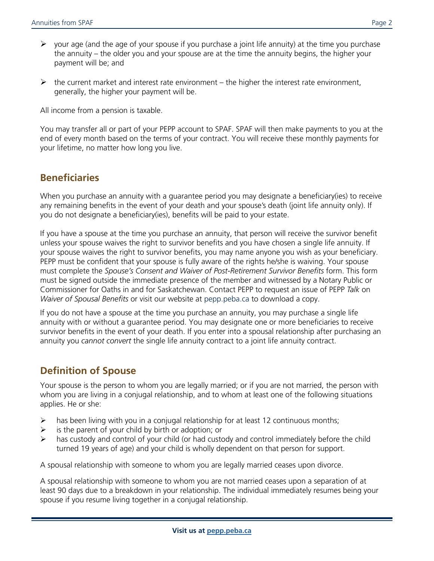- $\triangleright$  your age (and the age of your spouse if you purchase a joint life annuity) at the time you purchase the annuity – the older you and your spouse are at the time the annuity begins, the higher your payment will be; and
- $\triangleright$  the current market and interest rate environment the higher the interest rate environment, generally, the higher your payment will be.

All income from a pension is taxable.

You may transfer all or part of your PEPP account to SPAF. SPAF will then make payments to you at the end of every month based on the terms of your contract. You will receive these monthly payments for your lifetime, no matter how long you live.

# **Beneficiaries**

When you purchase an annuity with a guarantee period you may designate a beneficiary(ies) to receive any remaining benefits in the event of your death and your spouse's death (joint life annuity only). If you do not designate a beneficiary(ies), benefits will be paid to your estate.

If you have a spouse at the time you purchase an annuity, that person will receive the survivor benefit unless your spouse waives the right to survivor benefits and you have chosen a single life annuity. If your spouse waives the right to survivor benefits, you may name anyone you wish as your beneficiary. PEPP must be confident that your spouse is fully aware of the rights he/she is waiving. Your spouse must complete the *Spouse's Consent and Waiver of Post-Retirement Survivor Benefits* form. This form must be signed outside the immediate presence of the member and witnessed by a Notary Public or Commissioner for Oaths in and for Saskatchewan. Contact PEPP to request an issue of PEPP *Talk* on *Waiver of Spousal Benefits* or visit our website at pepp.peba.ca to download a copy.

If you do not have a spouse at the time you purchase an annuity, you may purchase a single life annuity with or without a guarantee period. You may designate one or more beneficiaries to receive survivor benefits in the event of your death. If you enter into a spousal relationship after purchasing an annuity you *cannot convert* the single life annuity contract to a joint life annuity contract.

# **Definition of Spouse**

Your spouse is the person to whom you are legally married; or if you are not married, the person with whom you are living in a conjugal relationship, and to whom at least one of the following situations applies. He or she:

- $\triangleright$  has been living with you in a conjugal relationship for at least 12 continuous months;
- $\triangleright$  is the parent of your child by birth or adoption; or
- $\triangleright$  has custody and control of your child (or had custody and control immediately before the child turned 19 years of age) and your child is wholly dependent on that person for support.

A spousal relationship with someone to whom you are legally married ceases upon divorce.

A spousal relationship with someone to whom you are not married ceases upon a separation of at least 90 days due to a breakdown in your relationship. The individual immediately resumes being your spouse if you resume living together in a conjugal relationship.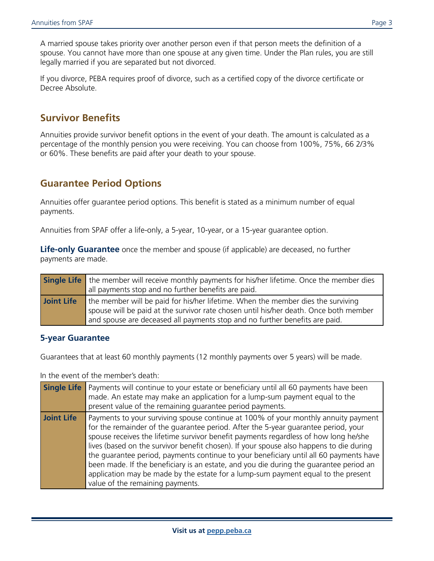A married spouse takes priority over another person even if that person meets the definition of a spouse. You cannot have more than one spouse at any given time. Under the Plan rules, you are still legally married if you are separated but not divorced.

If you divorce, PEBA requires proof of divorce, such as a certified copy of the divorce certificate or Decree Absolute.

## **Survivor Benefits**

Annuities provide survivor benefit options in the event of your death. The amount is calculated as a percentage of the monthly pension you were receiving. You can choose from 100%, 75%, 66 2/3% or 60%. These benefits are paid after your death to your spouse.

## **Guarantee Period Options**

Annuities offer guarantee period options. This benefit is stated as a minimum number of equal payments.

Annuities from SPAF offer a life-only, a 5-year, 10-year, or a 15-year guarantee option.

**Life-only Guarantee** once the member and spouse (if applicable) are deceased, no further payments are made.

|            | Single Life the member will receive monthly payments for his/her lifetime. Once the member dies                                                                                                                                                          |  |  |  |  |
|------------|----------------------------------------------------------------------------------------------------------------------------------------------------------------------------------------------------------------------------------------------------------|--|--|--|--|
|            | all payments stop and no further benefits are paid.                                                                                                                                                                                                      |  |  |  |  |
| Joint Life | the member will be paid for his/her lifetime. When the member dies the surviving<br>spouse will be paid at the survivor rate chosen until his/her death. Once both member<br>and spouse are deceased all payments stop and no further benefits are paid. |  |  |  |  |

#### **5-year Guarantee**

Guarantees that at least 60 monthly payments (12 monthly payments over 5 years) will be made.

In the event of the member's death:

|                   | <b>Single Life</b> Payments will continue to your estate or beneficiary until all 60 payments have been<br>made. An estate may make an application for a lump-sum payment equal to the<br>present value of the remaining guarantee period payments.                                                                                                                                                                                                                                                                                                                                                                                                                      |
|-------------------|--------------------------------------------------------------------------------------------------------------------------------------------------------------------------------------------------------------------------------------------------------------------------------------------------------------------------------------------------------------------------------------------------------------------------------------------------------------------------------------------------------------------------------------------------------------------------------------------------------------------------------------------------------------------------|
| <b>Joint Life</b> | Payments to your surviving spouse continue at 100% of your monthly annuity payment<br>for the remainder of the guarantee period. After the 5-year guarantee period, your<br>spouse receives the lifetime survivor benefit payments regardless of how long he/she<br>lives (based on the survivor benefit chosen). If your spouse also happens to die during<br>the guarantee period, payments continue to your beneficiary until all 60 payments have<br>been made. If the beneficiary is an estate, and you die during the guarantee period an<br>application may be made by the estate for a lump-sum payment equal to the present<br>value of the remaining payments. |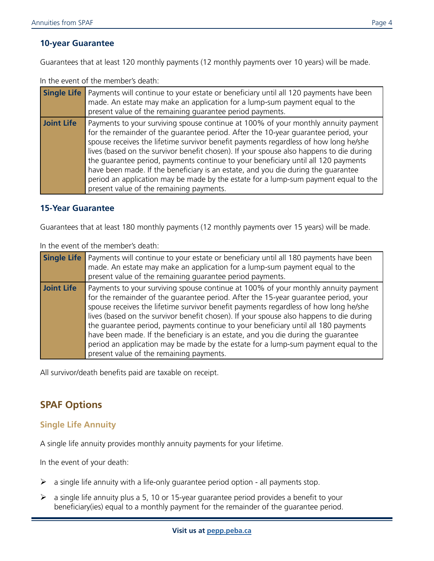#### **10-year Guarantee**

Guarantees that at least 120 monthly payments (12 monthly payments over 10 years) will be made.

In the event of the member's death:

|                   | <b>Single Life</b> Payments will continue to your estate or beneficiary until all 120 payments have been<br>made. An estate may make an application for a lump-sum payment equal to the<br>present value of the remaining quarantee period payments.                                                                                                                                                                                                                                                                                                                                                                                                                       |
|-------------------|----------------------------------------------------------------------------------------------------------------------------------------------------------------------------------------------------------------------------------------------------------------------------------------------------------------------------------------------------------------------------------------------------------------------------------------------------------------------------------------------------------------------------------------------------------------------------------------------------------------------------------------------------------------------------|
| <b>Joint Life</b> | Payments to your surviving spouse continue at 100% of your monthly annuity payment<br>for the remainder of the guarantee period. After the 10-year guarantee period, your<br>spouse receives the lifetime survivor benefit payments regardless of how long he/she<br>lives (based on the survivor benefit chosen). If your spouse also happens to die during<br>the guarantee period, payments continue to your beneficiary until all 120 payments<br>have been made. If the beneficiary is an estate, and you die during the guarantee<br>period an application may be made by the estate for a lump-sum payment equal to the<br>present value of the remaining payments. |

#### **15-Year Guarantee**

Guarantees that at least 180 monthly payments (12 monthly payments over 15 years) will be made.

In the event of the member's death:

| <b>Single Life</b> | Payments will continue to your estate or beneficiary until all 180 payments have been<br>made. An estate may make an application for a lump-sum payment equal to the<br>present value of the remaining guarantee period payments.                                                                                                                                                                                                                                                                                                                                                                                                                                          |
|--------------------|----------------------------------------------------------------------------------------------------------------------------------------------------------------------------------------------------------------------------------------------------------------------------------------------------------------------------------------------------------------------------------------------------------------------------------------------------------------------------------------------------------------------------------------------------------------------------------------------------------------------------------------------------------------------------|
| Joint Life         | Payments to your surviving spouse continue at 100% of your monthly annuity payment<br>for the remainder of the guarantee period. After the 15-year guarantee period, your<br>spouse receives the lifetime survivor benefit payments regardless of how long he/she<br>lives (based on the survivor benefit chosen). If your spouse also happens to die during<br>the quarantee period, payments continue to your beneficiary until all 180 payments<br>have been made. If the beneficiary is an estate, and you die during the guarantee<br>period an application may be made by the estate for a lump-sum payment equal to the<br>present value of the remaining payments. |

All survivor/death benefits paid are taxable on receipt.

## **SPAF Options**

#### **Single Life Annuity**

A single life annuity provides monthly annuity payments for your lifetime.

In the event of your death:

- $\triangleright$  a single life annuity with a life-only guarantee period option all payments stop.
- $\triangleright$  a single life annuity plus a 5, 10 or 15-year guarantee period provides a benefit to your beneficiary(ies) equal to a monthly payment for the remainder of the guarantee period.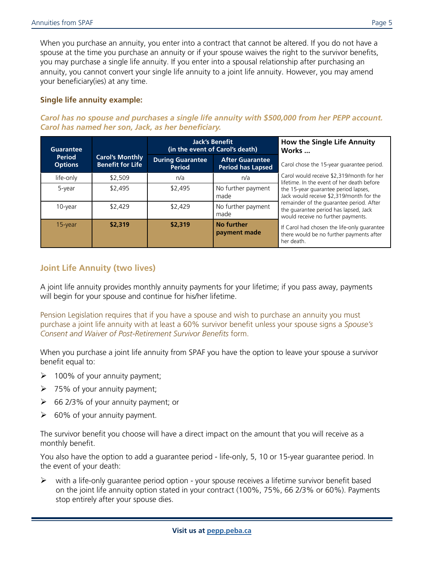When you purchase an annuity, you enter into a contract that cannot be altered. If you do not have a spouse at the time you purchase an annuity or if your spouse waives the right to the survivor benefits, you may purchase a single life annuity. If you enter into a spousal relationship after purchasing an annuity, you cannot convert your single life annuity to a joint life annuity. However, you may amend your beneficiary(ies) at any time.

#### **Single life annuity example:**

#### *Carol has no spouse and purchases a single life annuity with \$500,000 from her PEPP account. Carol has named her son, Jack, as her beneficiary.*

| <b>Guarantee</b>                |                                                   |                                          | <b>Jack's Benefit</b><br>(in the event of Carol's death) | How the Single Life Annuity<br>Works                                                                                    |
|---------------------------------|---------------------------------------------------|------------------------------------------|----------------------------------------------------------|-------------------------------------------------------------------------------------------------------------------------|
| <b>Period</b><br><b>Options</b> | <b>Carol's Monthly</b><br><b>Benefit for Life</b> | <b>During Guarantee</b><br><b>Period</b> | <b>After Guarantee</b><br><b>Period has Lapsed</b>       | Carol chose the 15-year quarantee period.                                                                               |
| life-only                       | \$2.509                                           | n/a                                      | n/a                                                      | Carol would receive \$2,319/month for her<br>lifetime. In the event of her death before                                 |
| 5-year                          | \$2.495                                           | \$2,495                                  | No further payment<br>made                               | the 15-year quarantee period lapses,<br>Jack would receive \$2,319/month for the                                        |
| 10-year                         | \$2.429                                           | \$2.429                                  | No further payment<br>made                               | remainder of the guarantee period. After<br>the guarantee period has lapsed, Jack<br>would receive no further payments. |
| $15$ -year                      | \$2,319                                           | \$2,319                                  | No further<br>payment made                               | If Carol had chosen the life-only quarantee<br>there would be no further payments after<br>her death.                   |

#### **Joint Life Annuity (two lives)**

A joint life annuity provides monthly annuity payments for your lifetime; if you pass away, payments will begin for your spouse and continue for his/her lifetime.

Pension Legislation requires that if you have a spouse and wish to purchase an annuity you must purchase a joint life annuity with at least a 60% survivor benefit unless your spouse signs a *Spouse's Consent and Waiver of Post-Retirement Survivor Benefits* form.

When you purchase a joint life annuity from SPAF you have the option to leave your spouse a survivor benefit equal to:

- $\geq 100\%$  of your annuity payment;
- $\geq$  75% of your annuity payment;
- $\geq$  66 2/3% of your annuity payment; or
- $\triangleright$  60% of your annuity payment.

The survivor benefit you choose will have a direct impact on the amount that you will receive as a monthly benefit.

You also have the option to add a guarantee period - life-only, 5, 10 or 15-year guarantee period. In the event of your death:

 $\triangleright$  with a life-only quarantee period option - your spouse receives a lifetime survivor benefit based on the joint life annuity option stated in your contract (100%, 75%, 66 2/3% or 60%). Payments stop entirely after your spouse dies.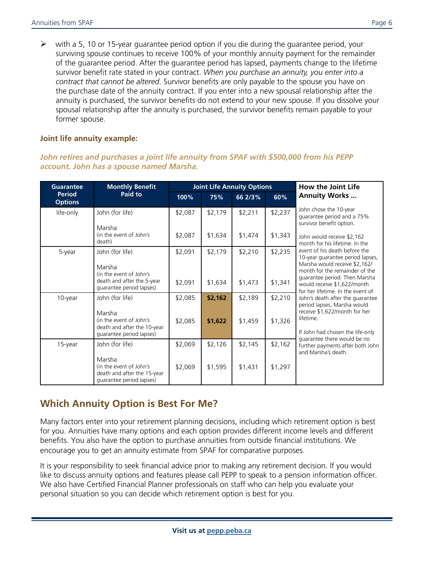$\triangleright$  with a 5, 10 or 15-year guarantee period option if you die during the guarantee period, your surviving spouse continues to receive 100% of your monthly annuity payment for the remainder of the guarantee period. After the guarantee period has lapsed, payments change to the lifetime survivor benefit rate stated in your contract. *When you purchase an annuity, you enter into a contract that cannot be altered.* Survivor benefits are only payable to the spouse you have on the purchase date of the annuity contract. If you enter into a new spousal relationship after the annuity is purchased, the survivor benefits do not extend to your new spouse. If you dissolve your spousal relationship after the annuity is purchased, the survivor benefits remain payable to your former spouse.

#### **Joint life annuity example:**

#### *John retires and purchases a joint life annuity from SPAF with \$500,000 from his PEPP account. John has a spouse named Marsha.*

| <b>Guarantee</b>                | <b>Monthly Benefit</b>                                                                       | <b>Joint Life Annuity Options</b> |         |         |         | How the Joint Life                                                                                                                                                                                                                                                                                        |
|---------------------------------|----------------------------------------------------------------------------------------------|-----------------------------------|---------|---------|---------|-----------------------------------------------------------------------------------------------------------------------------------------------------------------------------------------------------------------------------------------------------------------------------------------------------------|
| <b>Period</b><br><b>Options</b> | Paid to                                                                                      | 100%                              | 75%     | 66 2/3% | 60%     | <b>Annuity Works</b>                                                                                                                                                                                                                                                                                      |
| life-only                       | John (for life)                                                                              | \$2,087                           | \$2,179 | \$2,211 | \$2,237 | John chose the 10-year<br>guarantee period and a 75%<br>survivor benefit option.                                                                                                                                                                                                                          |
|                                 | Marsha<br>(in the event of John's<br>death)                                                  | \$2,087                           | \$1,634 | \$1,474 | \$1,343 | John would receive \$2,162<br>month for his lifetime. In the<br>event of his death before the<br>10-year guarantee period lapses,<br>Marsha would receive \$2,162/<br>month for the remainder of the<br>quarantee period. Then Marsha<br>would receive \$1,622/month<br>for her lifetime. In the event of |
| 5-year                          | John (for life)<br>Marsha                                                                    | \$2,091                           | \$2,179 | \$2,210 | \$2,235 |                                                                                                                                                                                                                                                                                                           |
|                                 | (in the event of John's<br>death and after the 5-year<br>quarantee period lapses)            | \$2,091                           | \$1,634 | \$1,473 | \$1,341 |                                                                                                                                                                                                                                                                                                           |
| 10-year                         | John (for life)                                                                              | \$2,085                           | \$2,162 | \$2,189 | \$2,210 | John's death after the quarantee<br>period lapses, Marsha would<br>receive \$1,622/month for her<br>lifetime.<br>If John had chosen the life-only<br>guarantee there would be no<br>further payments after both John<br>and Marsha's death.                                                               |
|                                 | Marsha<br>(in the event of John's<br>death and after the 10-year<br>quarantee period lapses) | \$2,085                           | \$1,622 | \$1,459 | \$1,326 |                                                                                                                                                                                                                                                                                                           |
| 15-year                         | John (for life)                                                                              | \$2,069                           | \$2,126 | \$2,145 | \$2,162 |                                                                                                                                                                                                                                                                                                           |
|                                 | Marsha<br>(in the event of John's<br>death and after the 15-year<br>quarantee period lapses) | \$2,069                           | \$1,595 | \$1,431 | \$1,297 |                                                                                                                                                                                                                                                                                                           |

# **Which Annuity Option is Best For Me?**

Many factors enter into your retirement planning decisions, including which retirement option is best for you. Annuities have many options and each option provides different income levels and different benefits. You also have the option to purchase annuities from outside financial institutions. We encourage you to get an annuity estimate from SPAF for comparative purposes.

It is your responsibility to seek financial advice prior to making any retirement decision. If you would like to discuss annuity options and features please call PEPP to speak to a pension information officer. We also have Certified Financial Planner professionals on staff who can help you evaluate your personal situation so you can decide which retirement option is best for you.